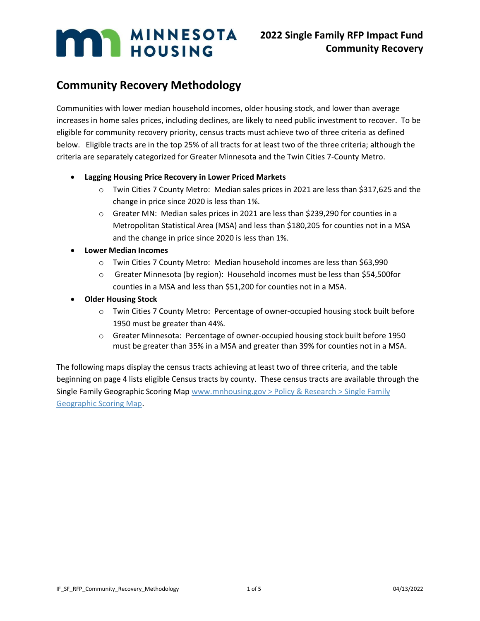## **Community Recovery Methodology**

Communities with lower median household incomes, older housing stock, and lower than average increases in home sales prices, including declines, are likely to need public investment to recover. To be eligible for community recovery priority, census tracts must achieve two of three criteria as defined below. Eligible tracts are in the top 25% of all tracts for at least two of the three criteria; although the criteria are separately categorized for Greater Minnesota and the Twin Cities 7-County Metro.

- **Lagging Housing Price Recovery in Lower Priced Markets**
	- o Twin Cities 7 County Metro: Median sales prices in 2021 are less than \$317,625 and the change in price since 2020 is less than 1%.
	- $\circ$  Greater MN: Median sales prices in 2021 are less than \$239,290 for counties in a Metropolitan Statistical Area (MSA) and less than \$180,205 for counties not in a MSA and the change in price since 2020 is less than 1%.
- **Lower Median Incomes** 
	- o Twin Cities 7 County Metro: Median household incomes are less than \$63,990
	- o Greater Minnesota (by region): Household incomes must be less than \$54,500for counties in a MSA and less than \$51,200 for counties not in a MSA.
- **Older Housing Stock**
	- o Twin Cities 7 County Metro: Percentage of owner-occupied housing stock built before 1950 must be greater than 44%.
	- o Greater Minnesota: Percentage of owner-occupied housing stock built before 1950 must be greater than 35% in a MSA and greater than 39% for counties not in a MSA.

The following maps display the census tracts achieving at least two of three criteria, and the table beginning on page 4 lists eligible Census tracts by county. These census tracts are available through the Single Family Geographic Scoring Map [www.mnhousing.gov > Policy & Research > Single Family](https://www.mnhousing.gov/sites/Satellite?c=Page&cid=1520549955388&pagename=External%2FPage%2FEXTStandardLayout)  [Geographic Scoring Map.](https://www.mnhousing.gov/sites/Satellite?c=Page&cid=1520549955388&pagename=External%2FPage%2FEXTStandardLayout)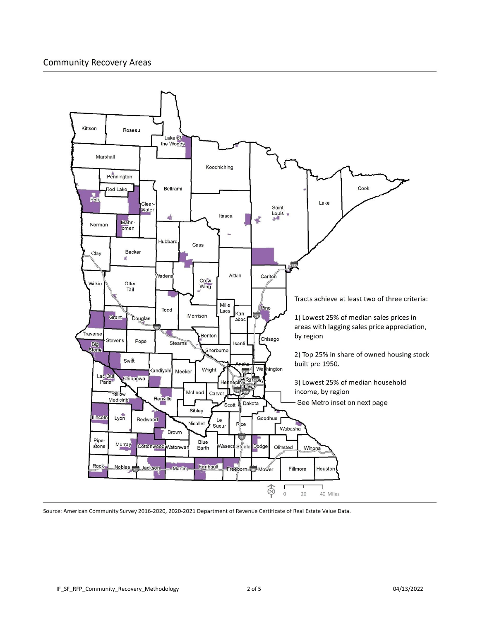## **Community Recovery Areas**



Source: American Community Survey 2016-2020, 2020-2021 Department of Revenue Certificate of Real Estate Value Data.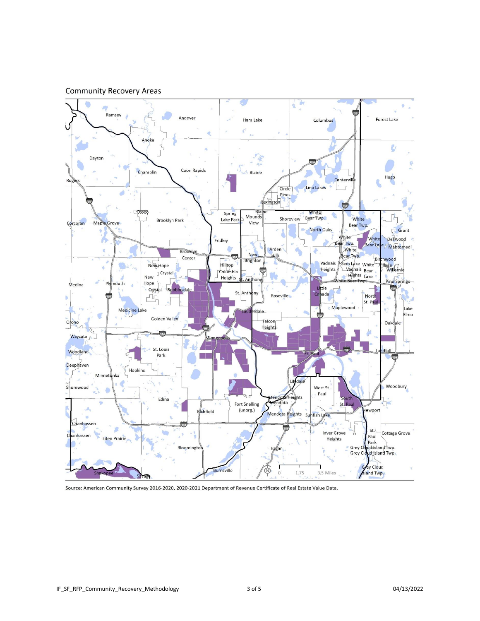



Source: American Community Survey 2016-2020, 2020-2021 Department of Revenue Certificate of Real Estate Value Data.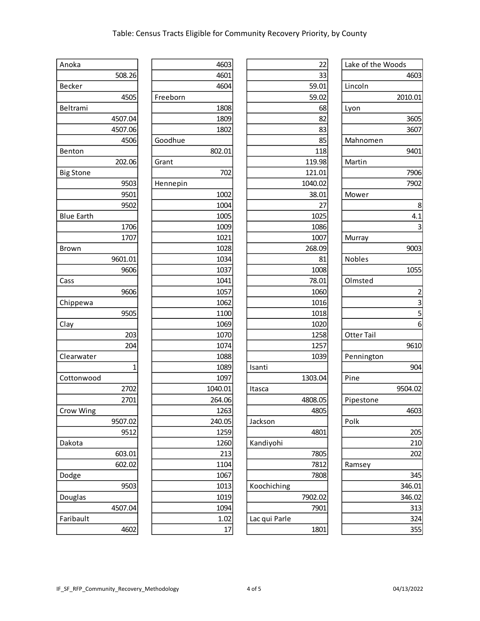| Anoka             | 4603     | 22            | Lake of the Woods |
|-------------------|----------|---------------|-------------------|
| 508.26            | 4601     | 33            | 4603              |
| Becker            | 4604     | 59.01         | Lincoln           |
| 4505              | Freeborn | 59.02         | 2010.01           |
| Beltrami          | 1808     | 68            | Lyon              |
| 4507.04           | 1809     | 82            | 3605              |
| 4507.06           | 1802     | 83            | 3607              |
| 4506              | Goodhue  | 85            | Mahnomen          |
| Benton            | 802.01   | 118           | 9401              |
| 202.06            | Grant    | 119.98        | Martin            |
| <b>Big Stone</b>  | 702      | 121.01        | 7906              |
| 9503              | Hennepin | 1040.02       | 7902              |
| 9501              | 1002     | 38.01         | Mower             |
| 9502              | 1004     | 27            | 8                 |
| <b>Blue Earth</b> | 1005     | 1025          | 4.1               |
| 1706              | 1009     | 1086          | 3                 |
| 1707              | 1021     | 1007          | Murray            |
| Brown             | 1028     | 268.09        | 9003              |
| 9601.01           | 1034     | 81            | Nobles            |
| 9606              | 1037     | 1008          | 1055              |
| Cass              | 1041     | 78.01         | Olmsted           |
| 9606              | 1057     | 1060          | $\overline{2}$    |
| Chippewa          | 1062     | 1016          | 3                 |
| 9505              | 1100     | 1018          | 5                 |
| Clay              | 1069     | 1020          | 6                 |
| 203               | 1070     | 1258          | Otter Tail        |
| 204               | 1074     | 1257          | 9610              |
| Clearwater        | 1088     | 1039          | Pennington        |
| 1                 | 1089     | Isanti        | 904               |
| Cottonwood        | 1097     | 1303.04       | Pine              |
| 2702              | 1040.01  | Itasca        | 9504.02           |
| 2701              | 264.06   | 4808.05       | Pipestone         |
| Crow Wing         | 1263     | 4805          | 4603              |
| 9507.02           | 240.05   | Jackson       | Polk              |
| 9512              | 1259     | 4801          | 205               |
| Dakota            | 1260     | Kandiyohi     | 210               |
| 603.01            | 213      | 7805          | 202               |
| 602.02            | 1104     | 7812          | Ramsey            |
| Dodge             | 1067     | 7808          | 345               |
| 9503              | 1013     | Koochiching   | 346.01            |
| Douglas           | 1019     | 7902.02       | 346.02            |
| 4507.04           | 1094     | 7901          | 313               |
| Faribault         | 1.02     | Lac qui Parle | 324               |
| 4602              | 17       | 1801          | 355               |